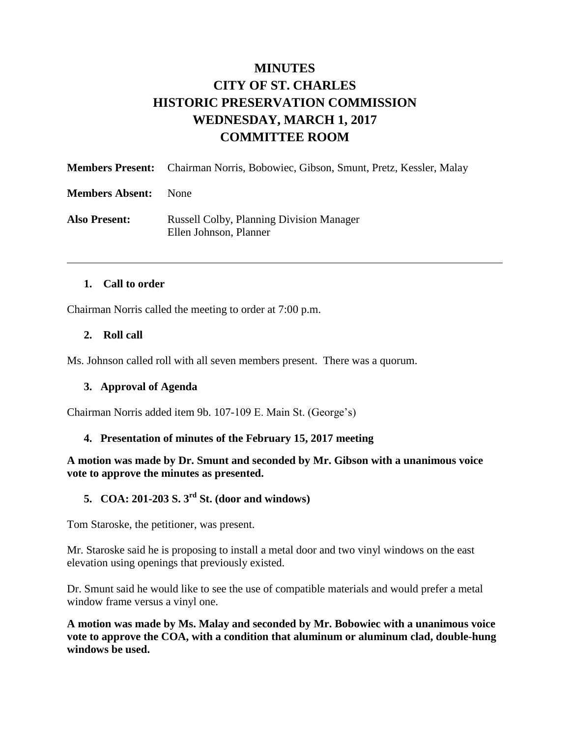# **MINUTES CITY OF ST. CHARLES HISTORIC PRESERVATION COMMISSION WEDNESDAY, MARCH 1, 2017 COMMITTEE ROOM**

|                        | <b>Members Present:</b> Chairman Norris, Bobowiec, Gibson, Smunt, Pretz, Kessler, Malay |
|------------------------|-----------------------------------------------------------------------------------------|
| <b>Members Absent:</b> | <b>None</b>                                                                             |
| <b>Also Present:</b>   | <b>Russell Colby, Planning Division Manager</b><br>Ellen Johnson, Planner               |

#### **1. Call to order**

Chairman Norris called the meeting to order at 7:00 p.m.

#### **2. Roll call**

Ms. Johnson called roll with all seven members present. There was a quorum.

#### **3. Approval of Agenda**

Chairman Norris added item 9b. 107-109 E. Main St. (George's)

#### **4. Presentation of minutes of the February 15, 2017 meeting**

**A motion was made by Dr. Smunt and seconded by Mr. Gibson with a unanimous voice vote to approve the minutes as presented.** 

# **5. COA: 201-203 S. 3rd St. (door and windows)**

Tom Staroske, the petitioner, was present.

Mr. Staroske said he is proposing to install a metal door and two vinyl windows on the east elevation using openings that previously existed.

Dr. Smunt said he would like to see the use of compatible materials and would prefer a metal window frame versus a vinyl one.

**A motion was made by Ms. Malay and seconded by Mr. Bobowiec with a unanimous voice vote to approve the COA, with a condition that aluminum or aluminum clad, double-hung windows be used.**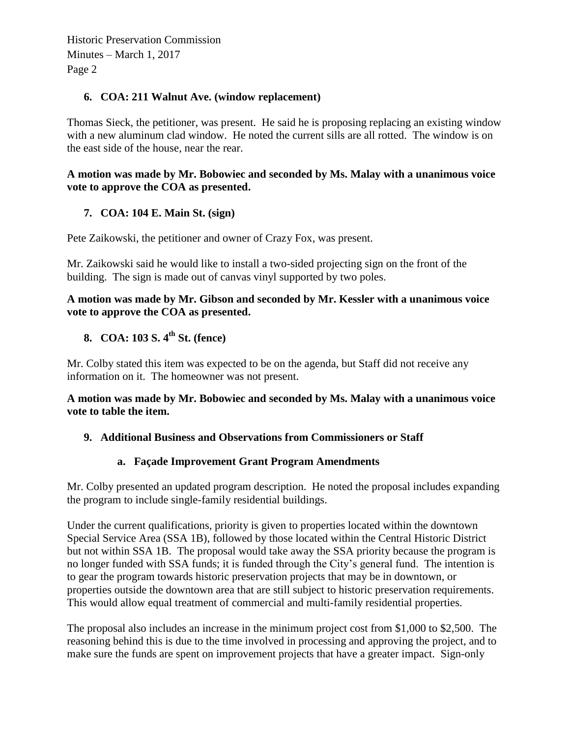## **6. COA: 211 Walnut Ave. (window replacement)**

Thomas Sieck, the petitioner, was present. He said he is proposing replacing an existing window with a new aluminum clad window. He noted the current sills are all rotted. The window is on the east side of the house, near the rear.

#### **A motion was made by Mr. Bobowiec and seconded by Ms. Malay with a unanimous voice vote to approve the COA as presented.**

# **7. COA: 104 E. Main St. (sign)**

Pete Zaikowski, the petitioner and owner of Crazy Fox, was present.

Mr. Zaikowski said he would like to install a two-sided projecting sign on the front of the building. The sign is made out of canvas vinyl supported by two poles.

#### **A motion was made by Mr. Gibson and seconded by Mr. Kessler with a unanimous voice vote to approve the COA as presented.**

# **8. COA: 103 S. 4 th St. (fence)**

Mr. Colby stated this item was expected to be on the agenda, but Staff did not receive any information on it. The homeowner was not present.

#### **A motion was made by Mr. Bobowiec and seconded by Ms. Malay with a unanimous voice vote to table the item.**

## **9. Additional Business and Observations from Commissioners or Staff**

## **a. Façade Improvement Grant Program Amendments**

Mr. Colby presented an updated program description. He noted the proposal includes expanding the program to include single-family residential buildings.

Under the current qualifications, priority is given to properties located within the downtown Special Service Area (SSA 1B), followed by those located within the Central Historic District but not within SSA 1B. The proposal would take away the SSA priority because the program is no longer funded with SSA funds; it is funded through the City's general fund. The intention is to gear the program towards historic preservation projects that may be in downtown, or properties outside the downtown area that are still subject to historic preservation requirements. This would allow equal treatment of commercial and multi-family residential properties.

The proposal also includes an increase in the minimum project cost from \$1,000 to \$2,500. The reasoning behind this is due to the time involved in processing and approving the project, and to make sure the funds are spent on improvement projects that have a greater impact. Sign-only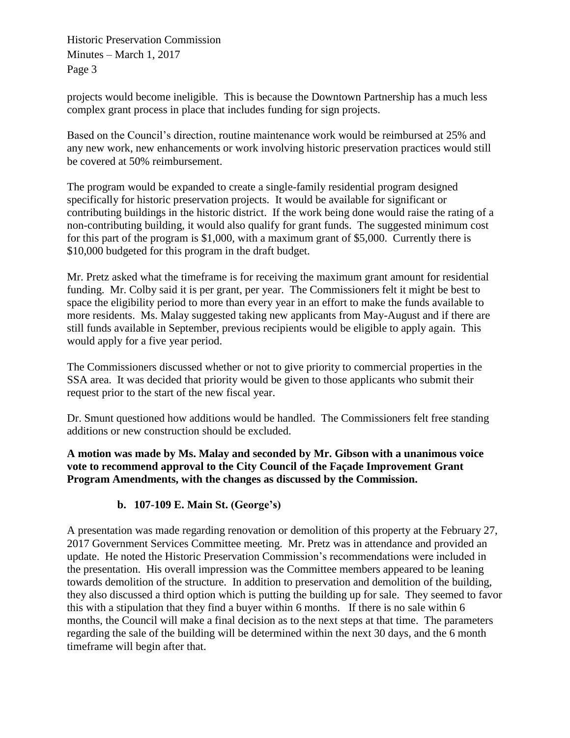projects would become ineligible. This is because the Downtown Partnership has a much less complex grant process in place that includes funding for sign projects.

Based on the Council's direction, routine maintenance work would be reimbursed at 25% and any new work, new enhancements or work involving historic preservation practices would still be covered at 50% reimbursement.

The program would be expanded to create a single-family residential program designed specifically for historic preservation projects. It would be available for significant or contributing buildings in the historic district. If the work being done would raise the rating of a non-contributing building, it would also qualify for grant funds. The suggested minimum cost for this part of the program is \$1,000, with a maximum grant of \$5,000. Currently there is \$10,000 budgeted for this program in the draft budget.

Mr. Pretz asked what the timeframe is for receiving the maximum grant amount for residential funding. Mr. Colby said it is per grant, per year. The Commissioners felt it might be best to space the eligibility period to more than every year in an effort to make the funds available to more residents. Ms. Malay suggested taking new applicants from May-August and if there are still funds available in September, previous recipients would be eligible to apply again. This would apply for a five year period.

The Commissioners discussed whether or not to give priority to commercial properties in the SSA area. It was decided that priority would be given to those applicants who submit their request prior to the start of the new fiscal year.

Dr. Smunt questioned how additions would be handled. The Commissioners felt free standing additions or new construction should be excluded.

**A motion was made by Ms. Malay and seconded by Mr. Gibson with a unanimous voice vote to recommend approval to the City Council of the Façade Improvement Grant Program Amendments, with the changes as discussed by the Commission.** 

# **b. 107-109 E. Main St. (George's)**

A presentation was made regarding renovation or demolition of this property at the February 27, 2017 Government Services Committee meeting. Mr. Pretz was in attendance and provided an update. He noted the Historic Preservation Commission's recommendations were included in the presentation. His overall impression was the Committee members appeared to be leaning towards demolition of the structure. In addition to preservation and demolition of the building, they also discussed a third option which is putting the building up for sale. They seemed to favor this with a stipulation that they find a buyer within 6 months. If there is no sale within 6 months, the Council will make a final decision as to the next steps at that time. The parameters regarding the sale of the building will be determined within the next 30 days, and the 6 month timeframe will begin after that.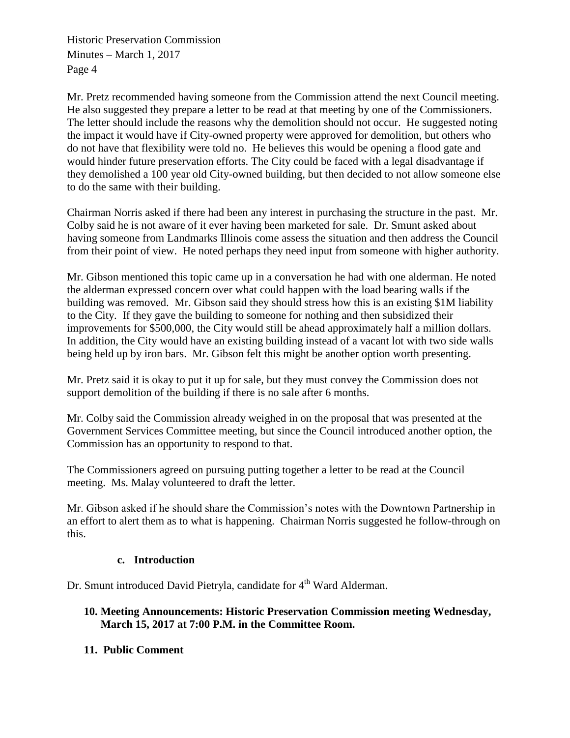Mr. Pretz recommended having someone from the Commission attend the next Council meeting. He also suggested they prepare a letter to be read at that meeting by one of the Commissioners. The letter should include the reasons why the demolition should not occur. He suggested noting the impact it would have if City-owned property were approved for demolition, but others who do not have that flexibility were told no. He believes this would be opening a flood gate and would hinder future preservation efforts. The City could be faced with a legal disadvantage if they demolished a 100 year old City-owned building, but then decided to not allow someone else to do the same with their building.

Chairman Norris asked if there had been any interest in purchasing the structure in the past. Mr. Colby said he is not aware of it ever having been marketed for sale. Dr. Smunt asked about having someone from Landmarks Illinois come assess the situation and then address the Council from their point of view. He noted perhaps they need input from someone with higher authority.

Mr. Gibson mentioned this topic came up in a conversation he had with one alderman. He noted the alderman expressed concern over what could happen with the load bearing walls if the building was removed. Mr. Gibson said they should stress how this is an existing \$1M liability to the City. If they gave the building to someone for nothing and then subsidized their improvements for \$500,000, the City would still be ahead approximately half a million dollars. In addition, the City would have an existing building instead of a vacant lot with two side walls being held up by iron bars. Mr. Gibson felt this might be another option worth presenting.

Mr. Pretz said it is okay to put it up for sale, but they must convey the Commission does not support demolition of the building if there is no sale after 6 months.

Mr. Colby said the Commission already weighed in on the proposal that was presented at the Government Services Committee meeting, but since the Council introduced another option, the Commission has an opportunity to respond to that.

The Commissioners agreed on pursuing putting together a letter to be read at the Council meeting. Ms. Malay volunteered to draft the letter.

Mr. Gibson asked if he should share the Commission's notes with the Downtown Partnership in an effort to alert them as to what is happening. Chairman Norris suggested he follow-through on this.

## **c. Introduction**

Dr. Smunt introduced David Pietryla, candidate for 4<sup>th</sup> Ward Alderman.

# **10. Meeting Announcements: Historic Preservation Commission meeting Wednesday, March 15, 2017 at 7:00 P.M. in the Committee Room.**

# **11. Public Comment**